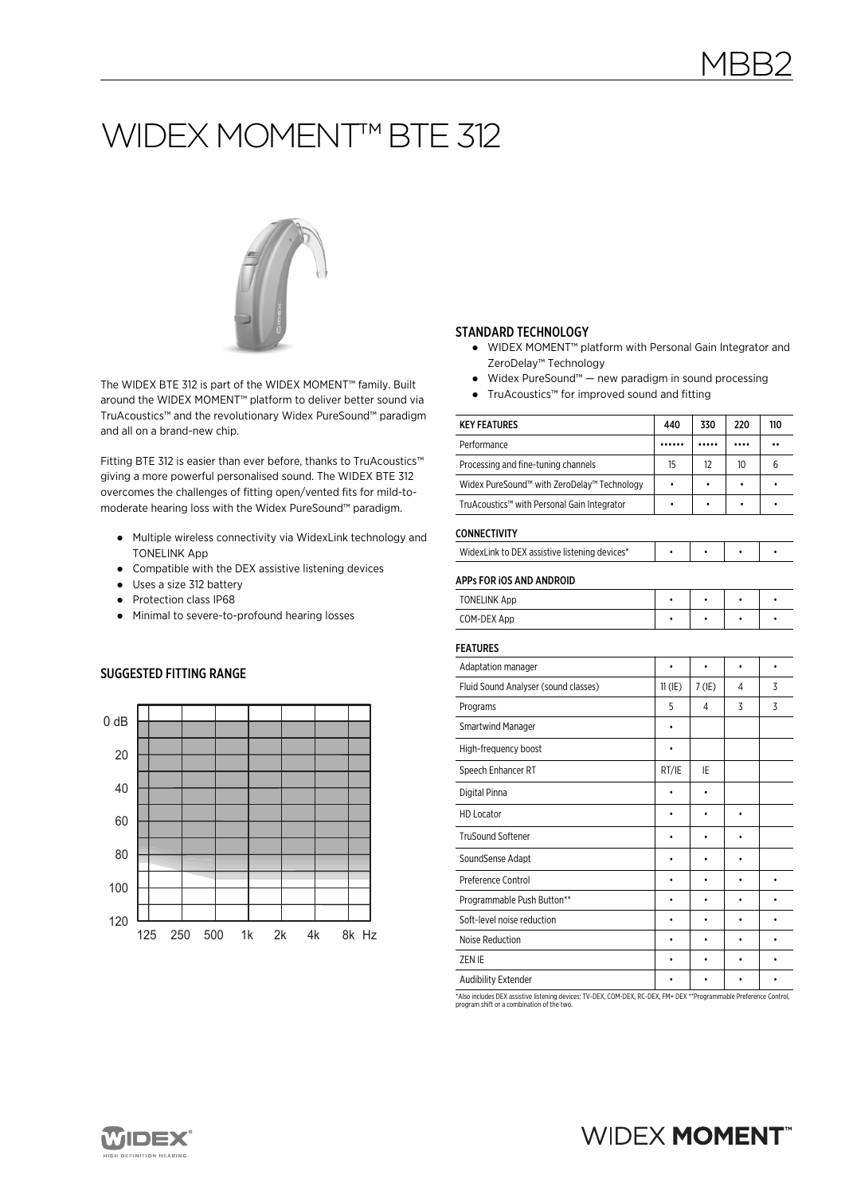# WIDEX MOMENT™ BTE 312



The WIDEX BTE 312 is part of the WIDEX MOMENT™ family. Built around the WIDEX MOMENT™ platform to deliver better sound via TruAcoustics™ and the revolutionary Widex PureSound™ paradigm and all on a brand-new chip.

Fitting BTE 312 is easier than ever before, thanks to TruAcoustics™ giving a more powerful personalised sound. The WIDEX BTE 312 overcomes the challenges of fitting open/vented fits for mild-tomoderate hearing loss with the Widex PureSound™ paradigm.

- Multiple wireless connectivity via WidexLink technology and TONELINK App
- Compatible with the DEX assistive listening devices
- Uses a size 312 battery
- Protection class IP68
- Minimal to severe-to-profound hearing losses

### SUGGESTED FITTING RANGE



#### STANDARD TECHNOLOGY

- WIDEX MOMENT<sup>™</sup> platform with Personal Gain Integrator and ZeroDelay™ Technology
- Widex PureSound™ new paradigm in sound processing
- TruAcoustics™ for improved sound and fitting

| <b>KEY FEATURES</b>                           | 440       | 330       | 220              | 110       |
|-----------------------------------------------|-----------|-----------|------------------|-----------|
| Performance                                   |           |           |                  |           |
| Processing and fine-tuning channels           | 15        | 12        | 10 <sup>10</sup> | 6         |
| Widex PureSound™ with ZeroDelay™ Technology   | ٠         |           | ٠                | ٠         |
| TruAcoustics™ with Personal Gain Integrator   | ٠         | ٠         | ٠                | ٠         |
| <b>CONNECTIVITY</b>                           |           |           |                  |           |
| WidexLink to DEX assistive listening devices* | $\bullet$ | $\bullet$ | $\bullet$        | $\bullet$ |
| APPs FOR IOS AND ANDROID                      |           |           |                  |           |
| <b>TONELINK App</b>                           | $\bullet$ | $\bullet$ | $\bullet$        | $\bullet$ |
| COM-DEX App                                   | $\bullet$ | $\bullet$ | $\bullet$        |           |
| <b>FEATURES</b>                               |           |           |                  |           |
| Adaptation manager                            | $\bullet$ |           | ۰                | $\bullet$ |
| Fluid Sound Analyser (sound classes)          | $11$ (IE) | $7$ (IE)  | 4                | 3         |
| Programs                                      | 5         | 4         | 3                | 3         |
| <b>Smartwind Manager</b>                      | ٠         |           |                  |           |
| High-frequency boost                          | $\bullet$ |           |                  |           |
| Speech Enhancer RT                            | RT/IE     | IE        |                  |           |
| Digital Pinna                                 | ٠         | $\bullet$ |                  |           |
| <b>HD Locator</b>                             | $\bullet$ | $\bullet$ | $\bullet$        |           |
| <b>TruSound Softener</b>                      | ٠         | ٠         |                  |           |
| SoundSense Adapt                              |           |           |                  |           |
| Preference Control                            | ٠         | ٠         | $\bullet$        | $\bullet$ |
| Programmable Push Button**                    | ٠         | ٠         |                  | ٠         |
| Soft-level noise reduction                    |           | ٠         |                  |           |
| Noise Reduction                               | $\bullet$ | $\bullet$ | ٠                | $\bullet$ |
| ZEN IE                                        |           |           |                  | ٠         |
| Audibility Extender                           | ٠         | ٠         | ٠                | ٠         |

\*Also includes DEX assistive listening devices: TV-DEX, COM-DEX, RC-DEX, FM+ DEX \*\*Programmable Preference Control, program shift or a combination of the two.



## **WIDEX MOMENT**